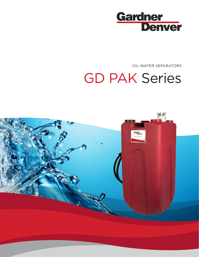

OIL-WATER SEPARATORS

# GD PAK Series

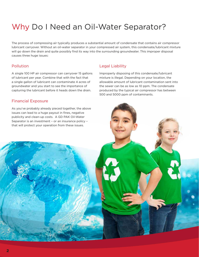### Why Do I Need an Oil-Water Separator?

The process of compressing air typically produces a substantial amount of condensate that contains air compressor lubricant carryover. Without an oil-water separator in your compressed air system, this condensate/lubricant mixture will go down the drain and quite possibly find its way into the surrounding groundwater. This improper disposal causes three huge issues:

#### Pollution

A single 100 HP air compressor can carryover 15 gallons of lubricant per year. Combine that with the fact that a single gallon of lubricant can contaminate 4 acres of groundwater and you start to see the importance of capturing the lubricant before it heads down the drain.

#### Legal Liability

Improperly disposing of this condensate/lubricant mixture is illegal. Depending on your location, the allowable amount of lubricant contamination sent into the sewer can be as low as 10 ppm. The condensate produced by the typical air compressor has between 500 and 5000 ppm of contaminants.

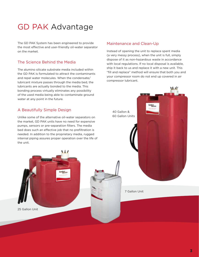### GD PAK Advantage

The GD PAK System has been engineered to provide the most effective and user-friendly oil-water separator on the market.

### The Science Behind the Media

The alumino silicate substrate media included within the GD PAK is formulated to attract the contaminants and repel water molecules. When the condensate/ lubricant mixture passes through the media bed, the lubricants are actually bonded to the media. This bonding process virtually eliminates any possibility of the used media being able to contaminate ground water at any point in the future.

### A Beautifully Simple Design

Unlike some of the alternative oil-water separators on the market, GD PAK units have no need for expensive pumps, sensors or pre-separation filters. The media bed does such an effective job that no prefiltration is needed. In addition to the proprietary media, rugged internal piping assures proper operation over the life of the unit.

 $\mathbf{1}$ 

#### Maintenance and Clean-Up

Instead of opening the unit to replace spent media (a very messy process), when the unit is full, simply dispose of it as non-hazardous waste in accordance with local regulations. If no local disposal is available, ship it back to us and replace it with a new unit. This "fill and replace" method will ensure that both you and your compressor room do not end up covered in air compressor lubricant.



7 Gallon Unit

25 Gallon Unit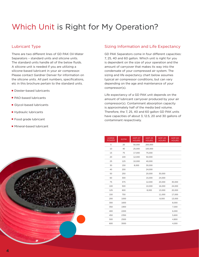### Which Unit is Right for My Operation?

#### Lubricant Type

There are two different lines of GD PAK Oil-Water Separators – standard units and silicone units. The standard units handle all of the below fluids. A silicone unit is needed if you are utilizing a silicone-based lubricant in your air compressor. Please contact Gardner Denver for information on the silicone units. All part numbers, specifications, etc in this brochure pertain to the standard units.

- Diester-based lubricants
- PAO-based lubricants
- Glycol-based lubricants
- Hydraulic lubricants
- Food grade lubricant
- Mineral-based lubricant



#### Sizing Information and Life Expectancy

GD PAK Separators come in four different capacities: 7, 25, 40 and 60 gallon. Which unit is right for you is dependent on the size of your operation and the amount of carryover that makes its way into the condensate of your compressed air system. The sizing and life expectancy chart below assumes typical air compressor conditions, but can vary depending on the age and maintenance of your compressor(s).

Life expectancy of a GD PAK unit depends on the amount of lubricant carryover produced by your air compressor(s). Contaminant absorption capacity is approximately half of the media bed volume. Therefore, the 7, 25, 40 and 60 gallon GD PAK units have capacities of about 3, 12.5, 20 and 30 gallons of contaminant respectively.

| <b>HORSE</b><br><b>POWER</b> | <b>SCFM</b> | <b>GDP-07</b><br><b>HOURS</b> | $GDP-25$<br><b>HOURS</b> | $GDP-40$<br><b>HOURS</b> | <b>GDP-60</b><br><b>HOURS</b> |
|------------------------------|-------------|-------------------------------|--------------------------|--------------------------|-------------------------------|
| 5                            | 20          | 50,000                        | 200,000                  |                          |                               |
| 10                           | 40          | 25,000                        | 100,000                  |                          |                               |
| 15                           | 75          | 17,000                        | 75,000                   |                          |                               |
| 20                           | 100         | 12,000                        | 50,000                   |                          |                               |
| 25                           | 125         | 10,000                        | 40,000                   |                          |                               |
| 30                           | 150         | 8,000                         | 30,000                   |                          |                               |
| 40                           | 200         |                               | 24,000                   |                          |                               |
| 50                           | 250         |                               | 20,000                   | 30,000                   |                               |
| 60                           | 300         |                               | 15,000                   | 24,000                   |                               |
| 75                           | 375         |                               | 12,000                   | 20,000                   | 30,000                        |
| 100                          | 500         |                               | 10,000                   | 16,000                   | 24,000                        |
| 125                          | 600         |                               | 8,000                    | 13,000                   | 20,000                        |
| 150                          | 750         |                               |                          | 11,000                   | 17,000                        |
| 200                          | 1000        |                               |                          | 8,000                    | 13,000                        |
| 300                          | 1600        |                               |                          |                          | 8,000                         |
| 350                          | 1900        |                               |                          |                          | 7,000                         |
| 400                          | 2200        |                               |                          |                          | 6,000                         |
| 450                          | 2350        |                               |                          |                          | 5,600                         |
| 500                          | 2500        |                               |                          |                          | 4,800                         |
| 600                          | 3000        |                               |                          |                          | 4,000                         |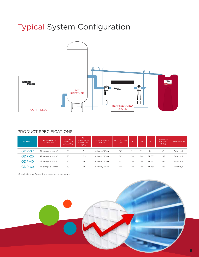### Typical System Configuration



### PRODUCT SPECIFICATIONS

| MODEL #       | <b>CONDENSATE</b><br><b>HANDLED</b> | <b>TOTAL</b><br><b>CAPACITY</b><br>(GALLON) | OIL<br><b>HANDLING</b><br><b>CAPACITY</b><br>(GAL) | <b>CONDENSATE</b><br><b>INLET</b> | <b>OUTLET NPT</b><br>(IN) |     | W   | н      | <b>SHIPPING</b><br><b>WEIGHT</b><br>(LES) | SHIPS FROM  |
|---------------|-------------------------------------|---------------------------------------------|----------------------------------------------------|-----------------------------------|---------------------------|-----|-----|--------|-------------------------------------------|-------------|
| GDP-07        | All except silicone*                |                                             | 3                                                  | 4 inlets, 1/4" ea                 | $\frac{3}{4}$ "           | 11" | 11" | 22"    | 41                                        | Batavia, IL |
| <b>GDP-25</b> | All except silicone*                | 25                                          | 12.5                                               | 6 inlets, 1/4" ea                 | $\frac{3}{4}$ "           | 20" | 20" | 21.75" | 200                                       | Batavia, IL |
| $GDP-40$      | All except silicone*                | 40                                          | 20                                                 | 6 inlets, 1/4" ea                 | $\frac{3}{4}$ "           | 20" | 20' | 41.75" | 330                                       | Batavia, IL |
| GDP-60        | All except silicone*                | 60                                          | 30                                                 | 6 inlets, 1/4" ea                 | $\frac{3}{4}$ "           | 20" | 20' | 41.75" | 470                                       | Batavia, IL |

\*Consult Gardner Denver for silicone-based lubricants.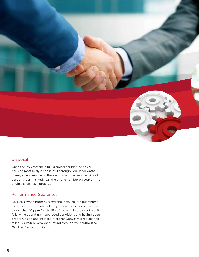

#### Disposal

Once the PAK system is full, disposal couldn't be easier. You can most likely dispose of it through your local waste management service. In the event your local service will not accept the unit, simply call the phone number on your unit to begin the disposal process.

#### Performance Guarantee

GD PAKs, when properly sized and installed, are guaranteed to reduce the contaminants in your compressor condensate to less than 10 ppm for the life of the unit. In the event a unit fails while operating in approved conditions and having been properly sized and installed, Gardner Denver will replace the failed GD PAK or provide a refund through your authorized Gardner Denver distributor.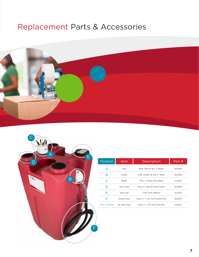### Replacement Parts & Accessories





| Position         | Item           | Description                     | Part # |
|------------------|----------------|---------------------------------|--------|
| А                | Inlet          | HUB, Inlet W Six 1/4" Barbs     | B10080 |
| R                | Outlet         | HUB, Outlet W one 3/4" Barb     | B10083 |
| C                | <b>Barbs</b>   | FTG. 1/4" Brass Hose Barb       | A10072 |
| D                | Vent foam      | Plug, 4" Vent W Foam Insert     | B10082 |
| F                | Vent Cap       | CVR, Vent (Black)               | A10232 |
| F                | Outlet Hose    | Hose, 3/4" x 10' CLR Outlet PVC | B20007 |
| <b>NOT SHOWN</b> | 25' Inlet Hose | Hose 1/4" x 25' Inlet CLR PVC   | A10071 |